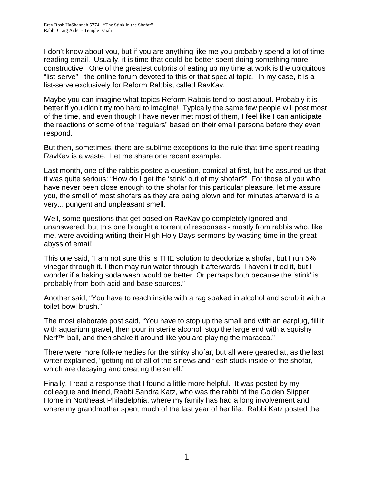I don't know about you, but if you are anything like me you probably spend a lot of time reading email. Usually, it is time that could be better spent doing something more constructive. One of the greatest culprits of eating up my time at work is the ubiquitous "list-serve" - the online forum devoted to this or that special topic. In my case, it is a list-serve exclusively for Reform Rabbis, called RavKav.

Maybe you can imagine what topics Reform Rabbis tend to post about. Probably it is better if you didn't try too hard to imagine! Typically the same few people will post most of the time, and even though I have never met most of them, I feel like I can anticipate the reactions of some of the "regulars" based on their email persona before they even respond.

But then, sometimes, there are sublime exceptions to the rule that time spent reading RavKav is a waste. Let me share one recent example.

Last month, one of the rabbis posted a question, comical at first, but he assured us that it was quite serious: "How do I get the 'stink' out of my shofar?" For those of you who have never been close enough to the shofar for this particular pleasure, let me assure you, the smell of most shofars as they are being blown and for minutes afterward is a very... pungent and unpleasant smell.

Well, some questions that get posed on RavKav go completely ignored and unanswered, but this one brought a torrent of responses - mostly from rabbis who, like me, were avoiding writing their High Holy Days sermons by wasting time in the great abyss of email!

This one said, "I am not sure this is THE solution to deodorize a shofar, but I run 5% vinegar through it. I then may run water through it afterwards. I haven't tried it, but I wonder if a baking soda wash would be better. Or perhaps both because the 'stink' is probably from both acid and base sources."

Another said, "You have to reach inside with a rag soaked in alcohol and scrub it with a toilet-bowl brush."

The most elaborate post said, "You have to stop up the small end with an earplug, fill it with aquarium gravel, then pour in sterile alcohol, stop the large end with a squishy Nerf<sup>™</sup> ball, and then shake it around like you are playing the maracca."

There were more folk-remedies for the stinky shofar, but all were geared at, as the last writer explained, "getting rid of all of the sinews and flesh stuck inside of the shofar, which are decaying and creating the smell."

Finally, I read a response that I found a little more helpful. It was posted by my colleague and friend, Rabbi Sandra Katz, who was the rabbi of the Golden Slipper Home in Northeast Philadelphia, where my family has had a long involvement and where my grandmother spent much of the last year of her life. Rabbi Katz posted the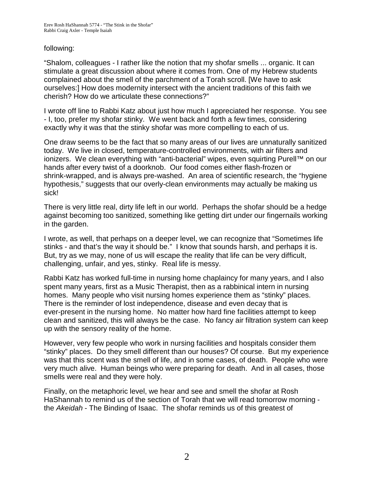## following:

"Shalom, colleagues - I rather like the notion that my shofar smells ... organic. It can stimulate a great discussion about where it comes from. One of my Hebrew students complained about the smell of the parchment of a Torah scroll. [We have to ask ourselves:] How does modernity intersect with the ancient traditions of this faith we cherish? How do we articulate these connections?"

I wrote off line to Rabbi Katz about just how much I appreciated her response. You see - I, too, prefer my shofar stinky. We went back and forth a few times, considering exactly why it was that the stinky shofar was more compelling to each of us.

One draw seems to be the fact that so many areas of our lives are unnaturally sanitized today. We live in closed, temperature-controlled environments, with air filters and ionizers. We clean everything with "anti-bacterial" wipes, even squirting Purell™ on our hands after every twist of a doorknob. Our food comes either flash-frozen or shrink-wrapped, and is always pre-washed. An area of scientific research, the "hygiene hypothesis," suggests that our overly-clean environments may actually be making us sick!

There is very little real, dirty life left in our world. Perhaps the shofar should be a hedge against becoming too sanitized, something like getting dirt under our fingernails working in the garden.

I wrote, as well, that perhaps on a deeper level, we can recognize that "Sometimes life stinks - and that's the way it should be." I know that sounds harsh, and perhaps it is. But, try as we may, none of us will escape the reality that life can be very difficult, challenging, unfair, and yes, stinky. Real life is messy.

Rabbi Katz has worked full-time in nursing home chaplaincy for many years, and I also spent many years, first as a Music Therapist, then as a rabbinical intern in nursing homes. Many people who visit nursing homes experience them as "stinky" places. There is the reminder of lost independence, disease and even decay that is ever-present in the nursing home. No matter how hard fine facilities attempt to keep clean and sanitized, this will always be the case. No fancy air filtration system can keep up with the sensory reality of the home.

However, very few people who work in nursing facilities and hospitals consider them "stinky" places. Do they smell different than our houses? Of course. But my experience was that this scent was the smell of life, and in some cases, of death. People who were very much alive. Human beings who were preparing for death. And in all cases, those smells were real and they were holy.

Finally, on the metaphoric level, we hear and see and smell the shofar at Rosh HaShannah to remind us of the section of Torah that we will read tomorrow morning the *Akeidah* - The Binding of Isaac. The shofar reminds us of this greatest of